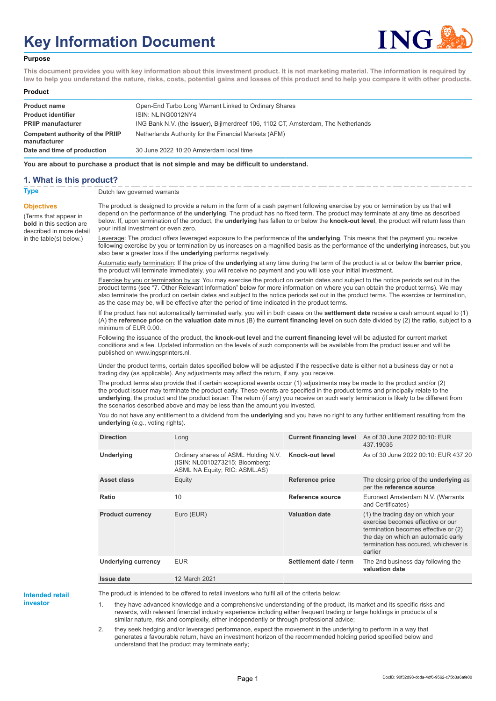# **Key Information Document**



#### **Purpose**

**This document provides you with key information about this investment product. It is not marketing material. The information is required by law to help you understand the nature, risks, costs, potential gains and losses of this product and to help you compare it with other products.**

#### **Product**

| <b>Product name</b>                                     | Open-End Turbo Long Warrant Linked to Ordinary Shares                                     |
|---------------------------------------------------------|-------------------------------------------------------------------------------------------|
| <b>Product identifier</b>                               | ISIN: NLING0012NY4                                                                        |
| <b>PRIIP manufacturer</b>                               | ING Bank N.V. (the <b>issuer</b> ), Bijlmerdreef 106, 1102 CT, Amsterdam, The Netherlands |
| <b>Competent authority of the PRIIP</b><br>manufacturer | Netherlands Authority for the Financial Markets (AFM)                                     |
| Date and time of production                             | 30 June 2022 10:20 Amsterdam local time                                                   |

**You are about to purchase a product that is not simple and may be difficult to understand.**

### **1. What is this product?**

**Objectives**

(Terms that appear in **bold** in this section are

in the table(s) below.)

**Type** Dutch law governed warrants

described in more detail The product is designed to provide a return in the form of a cash payment following exercise by you or termination by us that will depend on the performance of the **underlying**. The product has no fixed term. The product may terminate at any time as described below. If, upon termination of the product, the **underlying** has fallen to or below the **knock-out level**, the product will return less than your initial investment or even zero.

> Leverage: The product offers leveraged exposure to the performance of the **underlying**. This means that the payment you receive following exercise by you or termination by us increases on a magnified basis as the performance of the **underlying** increases, but you also bear a greater loss if the **underlying** performs negatively.

Automatic early termination: If the price of the **underlying** at any time during the term of the product is at or below the **barrier price**, the product will terminate immediately, you will receive no payment and you will lose your initial investment.

Exercise by you or termination by us: You may exercise the product on certain dates and subject to the notice periods set out in the product terms (see "7. Other Relevant Information" below for more information on where you can obtain the product terms). We may also terminate the product on certain dates and subject to the notice periods set out in the product terms. The exercise or termination, as the case may be, will be effective after the period of time indicated in the product terms.

If the product has not automatically terminated early, you will in both cases on the **settlement date** receive a cash amount equal to (1) (A) the **reference price** on the **valuation date** minus (B) the **current financing level** on such date divided by (2) the **ratio**, subject to a minimum of EUR 0.00.

Following the issuance of the product, the **knock-out level** and the **current financing level** will be adjusted for current market conditions and a fee. Updated information on the levels of such components will be available from the product issuer and will be published on www.ingsprinters.nl.

Under the product terms, certain dates specified below will be adjusted if the respective date is either not a business day or not a trading day (as applicable). Any adjustments may affect the return, if any, you receive.

The product terms also provide that if certain exceptional events occur (1) adjustments may be made to the product and/or (2) the product issuer may terminate the product early. These events are specified in the product terms and principally relate to the **underlying**, the product and the product issuer. The return (if any) you receive on such early termination is likely to be different from the scenarios described above and may be less than the amount you invested.

You do not have any entitlement to a dividend from the **underlying** and you have no right to any further entitlement resulting from the **underlying** (e.g., voting rights).

| <b>Direction</b>        | Long                                                                                                     | <b>Current financing level</b> | As of 30 June 2022 00:10: EUR<br>437.19035                                                                                                                                                                |
|-------------------------|----------------------------------------------------------------------------------------------------------|--------------------------------|-----------------------------------------------------------------------------------------------------------------------------------------------------------------------------------------------------------|
| <b>Underlying</b>       | Ordinary shares of ASML Holding N.V.<br>(ISIN: NL0010273215; Bloomberg:<br>ASML NA Equity; RIC: ASML.AS) | Knock-out level                | As of 30 June 2022 00:10: EUR 437.20                                                                                                                                                                      |
| Asset class             | Equity                                                                                                   | <b>Reference price</b>         | The closing price of the <b>underlying</b> as<br>per the reference source                                                                                                                                 |
| Ratio                   | 10                                                                                                       | Reference source               | Euronext Amsterdam N.V. (Warrants<br>and Certificates)                                                                                                                                                    |
| <b>Product currency</b> | Euro (EUR)                                                                                               | <b>Valuation date</b>          | (1) the trading day on which your<br>exercise becomes effective or our<br>termination becomes effective or (2)<br>the day on which an automatic early<br>termination has occured, whichever is<br>earlier |
| Underlying currency     | <b>EUR</b>                                                                                               | Settlement date / term         | The 2nd business day following the<br>valuation date                                                                                                                                                      |
| <b>Issue date</b>       | 12 March 2021                                                                                            |                                |                                                                                                                                                                                                           |

**Intended retail**

**investor**

The product is intended to be offered to retail investors who fulfil all of the criteria below:

1. they have advanced knowledge and a comprehensive understanding of the product, its market and its specific risks and rewards, with relevant financial industry experience including either frequent trading or large holdings in products of a similar nature, risk and complexity, either independently or through professional advice;

2. they seek hedging and/or leveraged performance, expect the movement in the underlying to perform in a way that generates a favourable return, have an investment horizon of the recommended holding period specified below and understand that the product may terminate early;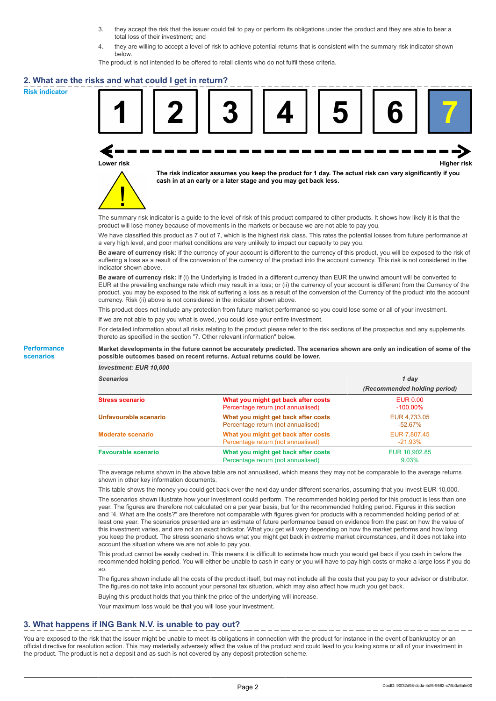- 3. they accept the risk that the issuer could fail to pay or perform its obligations under the product and they are able to bear a total loss of their investment; and
- 4. they are willing to accept a level of risk to achieve potential returns that is consistent with the summary risk indicator shown below.

The product is not intended to be offered to retail clients who do not fulfil these criteria.

### **2. What are the risks and what could I get in return?**

**Risk indicator**

**Performance scenarios**





**The risk indicator assumes you keep the product for 1 day. The actual risk can vary significantly if you cash in at an early or a later stage and you may get back less.**

The summary risk indicator is a guide to the level of risk of this product compared to other products. It shows how likely it is that the product will lose money because of movements in the markets or because we are not able to pay you.

We have classified this product as 7 out of 7, which is the highest risk class. This rates the potential losses from future performance at a very high level, and poor market conditions are very unlikely to impact our capacity to pay you.

**Be aware of currency risk:** If the currency of your account is different to the currency of this product, you will be exposed to the risk of suffering a loss as a result of the conversion of the currency of the product into the account currency. This risk is not considered in the indicator shown above.

**Be aware of currency risk:** If (i) the Underlying is traded in a different currency than EUR the unwind amount will be converted to EUR at the prevailing exchange rate which may result in a loss; or (ii) the currency of your account is different from the Currency of the product, you may be exposed to the risk of suffering a loss as a result of the conversion of the Currency of the product into the account currency. Risk (ii) above is not considered in the indicator shown above.

This product does not include any protection from future market performance so you could lose some or all of your investment.

If we are not able to pay you what is owed, you could lose your entire investment.

For detailed information about all risks relating to the product please refer to the risk sections of the prospectus and any supplements thereto as specified in the section "7. Other relevant information" below.

#### **Market developments in the future cannot be accurately predicted. The scenarios shown are only an indication of some of the possible outcomes based on recent returns. Actual returns could be lower.**

*Investment: EUR 10,000*

| cenarios |  |  |
|----------|--|--|
|          |  |  |

| <b>Scenarios</b>           |                                                                           | 1 day                          |  |
|----------------------------|---------------------------------------------------------------------------|--------------------------------|--|
|                            |                                                                           | (Recommended holding period)   |  |
| Stress scenario            | What you might get back after costs<br>Percentage return (not annualised) | <b>EUR 0.00</b><br>$-100.00\%$ |  |
| Unfavourable scenario      | What you might get back after costs<br>Percentage return (not annualised) | EUR 4.733.05<br>$-52.67\%$     |  |
| <b>Moderate scenario</b>   | What you might get back after costs<br>Percentage return (not annualised) | EUR 7,807.45<br>$-21.93%$      |  |
| <b>Favourable scenario</b> | What you might get back after costs<br>Percentage return (not annualised) | EUR 10,902.85<br>$9.03\%$      |  |

The average returns shown in the above table are not annualised, which means they may not be comparable to the average returns shown in other key information documents.

This table shows the money you could get back over the next day under different scenarios, assuming that you invest EUR 10,000.

The scenarios shown illustrate how your investment could perform. The recommended holding period for this product is less than one year. The figures are therefore not calculated on a per year basis, but for the recommended holding period. Figures in this section and "4. What are the costs?" are therefore not comparable with figures given for products with a recommended holding period of at least one year. The scenarios presented are an estimate of future performance based on evidence from the past on how the value of this investment varies, and are not an exact indicator. What you get will vary depending on how the market performs and how long you keep the product. The stress scenario shows what you might get back in extreme market circumstances, and it does not take into account the situation where we are not able to pay you.

This product cannot be easily cashed in. This means it is difficult to estimate how much you would get back if you cash in before the recommended holding period. You will either be unable to cash in early or you will have to pay high costs or make a large loss if you do so.

The figures shown include all the costs of the product itself, but may not include all the costs that you pay to your advisor or distributor. The figures do not take into account your personal tax situation, which may also affect how much you get back.

Buying this product holds that you think the price of the underlying will increase.

Your maximum loss would be that you will lose your investment.

## **3. What happens if ING Bank N.V. is unable to pay out?**

You are exposed to the risk that the issuer might be unable to meet its obligations in connection with the product for instance in the event of bankruptcy or an official directive for resolution action. This may materially adversely affect the value of the product and could lead to you losing some or all of your investment in the product. The product is not a deposit and as such is not covered by any deposit protection scheme.